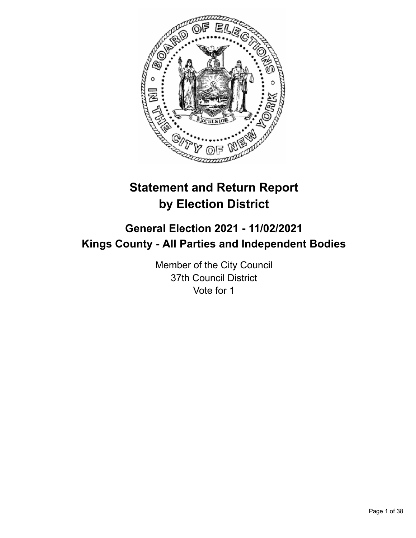

# **Statement and Return Report by Election District**

## **General Election 2021 - 11/02/2021 Kings County - All Parties and Independent Bodies**

Member of the City Council 37th Council District Vote for 1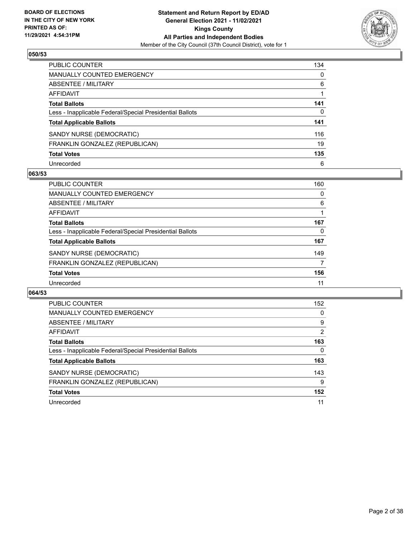

| PUBLIC COUNTER                                           | 134          |
|----------------------------------------------------------|--------------|
| MANUALLY COUNTED EMERGENCY                               | $\mathbf{0}$ |
| <b>ABSENTEE / MILITARY</b>                               | 6            |
| <b>AFFIDAVIT</b>                                         |              |
| <b>Total Ballots</b>                                     | 141          |
| Less - Inapplicable Federal/Special Presidential Ballots | 0            |
| <b>Total Applicable Ballots</b>                          | 141          |
| SANDY NURSE (DEMOCRATIC)                                 | 116          |
| FRANKLIN GONZALEZ (REPUBLICAN)                           | 19           |
| <b>Total Votes</b>                                       | 135          |
| Unrecorded                                               | 6            |

## **063/53**

| <b>PUBLIC COUNTER</b>                                    | 160      |
|----------------------------------------------------------|----------|
| <b>MANUALLY COUNTED EMERGENCY</b>                        | $\Omega$ |
| ABSENTEE / MILITARY                                      | 6        |
| AFFIDAVIT                                                |          |
| <b>Total Ballots</b>                                     | 167      |
| Less - Inapplicable Federal/Special Presidential Ballots | 0        |
| <b>Total Applicable Ballots</b>                          | 167      |
| SANDY NURSE (DEMOCRATIC)                                 | 149      |
| FRANKLIN GONZALEZ (REPUBLICAN)                           | 7        |
| <b>Total Votes</b>                                       | 156      |
| Unrecorded                                               | 11       |

| PUBLIC COUNTER                                           | 152            |
|----------------------------------------------------------|----------------|
| <b>MANUALLY COUNTED EMERGENCY</b>                        | 0              |
| ABSENTEE / MILITARY                                      | 9              |
| <b>AFFIDAVIT</b>                                         | $\overline{2}$ |
| <b>Total Ballots</b>                                     | 163            |
| Less - Inapplicable Federal/Special Presidential Ballots | 0              |
| <b>Total Applicable Ballots</b>                          | 163            |
| SANDY NURSE (DEMOCRATIC)                                 | 143            |
| FRANKLIN GONZALEZ (REPUBLICAN)                           | 9              |
| <b>Total Votes</b>                                       | 152            |
| Unrecorded                                               | 11             |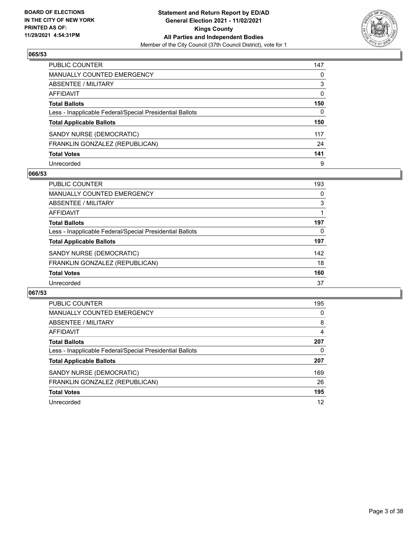

| PUBLIC COUNTER                                           | 147          |
|----------------------------------------------------------|--------------|
| MANUALLY COUNTED EMERGENCY                               | 0            |
| <b>ABSENTEE / MILITARY</b>                               | 3            |
| <b>AFFIDAVIT</b>                                         | $\mathbf{0}$ |
| <b>Total Ballots</b>                                     | 150          |
| Less - Inapplicable Federal/Special Presidential Ballots | $\mathbf{0}$ |
| <b>Total Applicable Ballots</b>                          | 150          |
| SANDY NURSE (DEMOCRATIC)                                 | 117          |
| FRANKLIN GONZALEZ (REPUBLICAN)                           | 24           |
| <b>Total Votes</b>                                       | 141          |
| Unrecorded                                               | 9            |

## **066/53**

| <b>PUBLIC COUNTER</b>                                    | 193      |
|----------------------------------------------------------|----------|
| <b>MANUALLY COUNTED EMERGENCY</b>                        | $\Omega$ |
| ABSENTEE / MILITARY                                      | 3        |
| AFFIDAVIT                                                |          |
| <b>Total Ballots</b>                                     | 197      |
| Less - Inapplicable Federal/Special Presidential Ballots | 0        |
| <b>Total Applicable Ballots</b>                          | 197      |
| SANDY NURSE (DEMOCRATIC)                                 | 142      |
| FRANKLIN GONZALEZ (REPUBLICAN)                           | 18       |
| <b>Total Votes</b>                                       | 160      |
| Unrecorded                                               | 37       |

| <b>PUBLIC COUNTER</b>                                    | 195 |
|----------------------------------------------------------|-----|
| <b>MANUALLY COUNTED EMERGENCY</b>                        | 0   |
| ABSENTEE / MILITARY                                      | 8   |
| <b>AFFIDAVIT</b>                                         | 4   |
| <b>Total Ballots</b>                                     | 207 |
| Less - Inapplicable Federal/Special Presidential Ballots | 0   |
| <b>Total Applicable Ballots</b>                          | 207 |
| SANDY NURSE (DEMOCRATIC)                                 | 169 |
| FRANKLIN GONZALEZ (REPUBLICAN)                           | 26  |
| <b>Total Votes</b>                                       | 195 |
| Unrecorded                                               | 12  |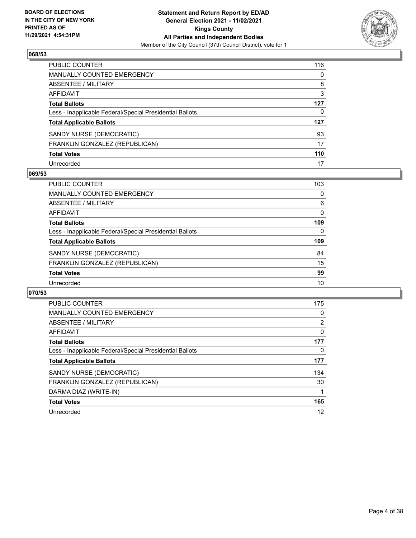

| PUBLIC COUNTER                                           | 116 |
|----------------------------------------------------------|-----|
| <b>MANUALLY COUNTED EMERGENCY</b>                        | 0   |
| ABSENTEE / MILITARY                                      | 8   |
| AFFIDAVIT                                                | 3   |
| <b>Total Ballots</b>                                     | 127 |
| Less - Inapplicable Federal/Special Presidential Ballots | 0   |
| <b>Total Applicable Ballots</b>                          | 127 |
| SANDY NURSE (DEMOCRATIC)                                 | 93  |
| FRANKLIN GONZALEZ (REPUBLICAN)                           | 17  |
| <b>Total Votes</b>                                       | 110 |
| Unrecorded                                               | 17  |

## **069/53**

| <b>PUBLIC COUNTER</b>                                    | 103      |
|----------------------------------------------------------|----------|
| MANUALLY COUNTED EMERGENCY                               | $\Omega$ |
| ABSENTEE / MILITARY                                      | 6        |
| AFFIDAVIT                                                | 0        |
| <b>Total Ballots</b>                                     | 109      |
| Less - Inapplicable Federal/Special Presidential Ballots | $\Omega$ |
| <b>Total Applicable Ballots</b>                          | 109      |
| SANDY NURSE (DEMOCRATIC)                                 | 84       |
| FRANKLIN GONZALEZ (REPUBLICAN)                           | 15       |
| <b>Total Votes</b>                                       | 99       |
| Unrecorded                                               | 10       |

| <b>PUBLIC COUNTER</b>                                    | 175      |
|----------------------------------------------------------|----------|
| <b>MANUALLY COUNTED EMERGENCY</b>                        | 0        |
| ABSENTEE / MILITARY                                      | 2        |
| <b>AFFIDAVIT</b>                                         | $\Omega$ |
| <b>Total Ballots</b>                                     | 177      |
| Less - Inapplicable Federal/Special Presidential Ballots | 0        |
| <b>Total Applicable Ballots</b>                          | 177      |
| SANDY NURSE (DEMOCRATIC)                                 | 134      |
| FRANKLIN GONZALEZ (REPUBLICAN)                           | 30       |
| DARMA DIAZ (WRITE-IN)                                    |          |
| <b>Total Votes</b>                                       | 165      |
| Unrecorded                                               | 12       |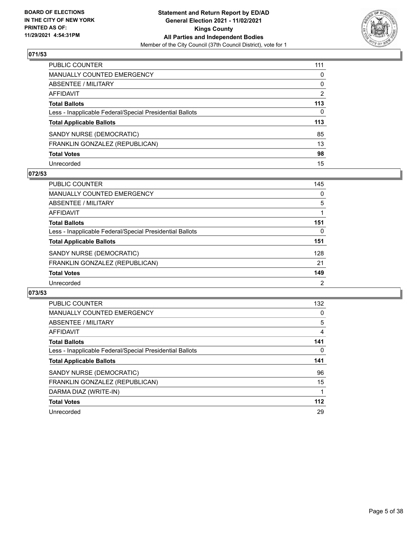

| PUBLIC COUNTER                                           | 111            |
|----------------------------------------------------------|----------------|
| <b>MANUALLY COUNTED EMERGENCY</b>                        | 0              |
| ABSENTEE / MILITARY                                      | 0              |
| AFFIDAVIT                                                | $\overline{2}$ |
| <b>Total Ballots</b>                                     | 113            |
| Less - Inapplicable Federal/Special Presidential Ballots | $\mathbf{0}$   |
| <b>Total Applicable Ballots</b>                          | 113            |
| SANDY NURSE (DEMOCRATIC)                                 | 85             |
| FRANKLIN GONZALEZ (REPUBLICAN)                           | 13             |
| <b>Total Votes</b>                                       | 98             |
| Unrecorded                                               | 15             |

## **072/53**

| <b>PUBLIC COUNTER</b>                                    | 145           |
|----------------------------------------------------------|---------------|
| <b>MANUALLY COUNTED EMERGENCY</b>                        | $\Omega$      |
| ABSENTEE / MILITARY                                      | 5             |
| AFFIDAVIT                                                |               |
| <b>Total Ballots</b>                                     | 151           |
| Less - Inapplicable Federal/Special Presidential Ballots | 0             |
| <b>Total Applicable Ballots</b>                          | 151           |
| SANDY NURSE (DEMOCRATIC)                                 | 128           |
| FRANKLIN GONZALEZ (REPUBLICAN)                           | 21            |
| <b>Total Votes</b>                                       | 149           |
| Unrecorded                                               | $\mathcal{P}$ |

| <b>PUBLIC COUNTER</b>                                    | 132 |
|----------------------------------------------------------|-----|
| <b>MANUALLY COUNTED EMERGENCY</b>                        | 0   |
| ABSENTEE / MILITARY                                      | 5   |
| <b>AFFIDAVIT</b>                                         | 4   |
| <b>Total Ballots</b>                                     | 141 |
| Less - Inapplicable Federal/Special Presidential Ballots | 0   |
| <b>Total Applicable Ballots</b>                          | 141 |
|                                                          |     |
| SANDY NURSE (DEMOCRATIC)                                 | 96  |
| FRANKLIN GONZALEZ (REPUBLICAN)                           | 15  |
| DARMA DIAZ (WRITE-IN)                                    |     |
| <b>Total Votes</b>                                       | 112 |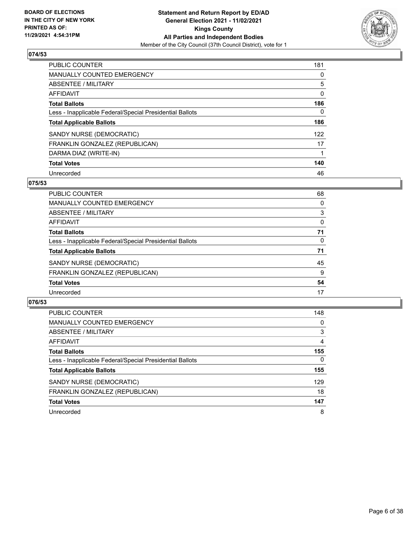

| <b>PUBLIC COUNTER</b>                                    | 181      |
|----------------------------------------------------------|----------|
| <b>MANUALLY COUNTED EMERGENCY</b>                        | 0        |
| ABSENTEE / MILITARY                                      | 5        |
| AFFIDAVIT                                                | $\Omega$ |
| <b>Total Ballots</b>                                     | 186      |
| Less - Inapplicable Federal/Special Presidential Ballots | $\Omega$ |
| <b>Total Applicable Ballots</b>                          | 186      |
| SANDY NURSE (DEMOCRATIC)                                 | 122      |
| FRANKLIN GONZALEZ (REPUBLICAN)                           | 17       |
| DARMA DIAZ (WRITE-IN)                                    |          |
| <b>Total Votes</b>                                       | 140      |
| Unrecorded                                               | 46       |

#### **075/53**

| <b>PUBLIC COUNTER</b>                                    | 68       |
|----------------------------------------------------------|----------|
| MANUALLY COUNTED EMERGENCY                               | 0        |
| ABSENTEE / MILITARY                                      | 3        |
| <b>AFFIDAVIT</b>                                         | 0        |
| <b>Total Ballots</b>                                     | 71       |
| Less - Inapplicable Federal/Special Presidential Ballots | $\Omega$ |
| <b>Total Applicable Ballots</b>                          | 71       |
| SANDY NURSE (DEMOCRATIC)                                 | 45       |
| FRANKLIN GONZALEZ (REPUBLICAN)                           | 9        |
| <b>Total Votes</b>                                       | 54       |
| Unrecorded                                               | 17       |

| <b>PUBLIC COUNTER</b>                                    | 148      |
|----------------------------------------------------------|----------|
| <b>MANUALLY COUNTED EMERGENCY</b>                        | 0        |
| ABSENTEE / MILITARY                                      | 3        |
| AFFIDAVIT                                                | 4        |
| <b>Total Ballots</b>                                     | 155      |
| Less - Inapplicable Federal/Special Presidential Ballots | $\Omega$ |
| <b>Total Applicable Ballots</b>                          | 155      |
| SANDY NURSE (DEMOCRATIC)                                 | 129      |
| FRANKLIN GONZALEZ (REPUBLICAN)                           | 18       |
| <b>Total Votes</b>                                       | 147      |
| Unrecorded                                               | 8        |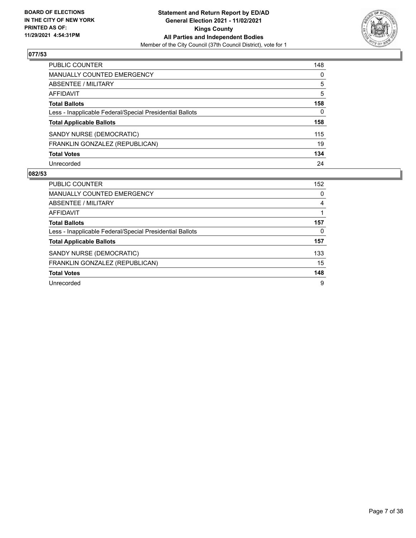

| PUBLIC COUNTER                                           | 148          |
|----------------------------------------------------------|--------------|
| <b>MANUALLY COUNTED EMERGENCY</b>                        | 0            |
| <b>ABSENTEE / MILITARY</b>                               | 5            |
| <b>AFFIDAVIT</b>                                         | 5            |
| <b>Total Ballots</b>                                     | 158          |
| Less - Inapplicable Federal/Special Presidential Ballots | $\mathbf{0}$ |
| <b>Total Applicable Ballots</b>                          | 158          |
| SANDY NURSE (DEMOCRATIC)                                 | 115          |
| FRANKLIN GONZALEZ (REPUBLICAN)                           | 19           |
| <b>Total Votes</b>                                       | 134          |
| Unrecorded                                               | 24           |

| PUBLIC COUNTER                                           | 152      |
|----------------------------------------------------------|----------|
| <b>MANUALLY COUNTED EMERGENCY</b>                        | $\Omega$ |
| ABSENTEE / MILITARY                                      | 4        |
| AFFIDAVIT                                                |          |
| <b>Total Ballots</b>                                     | 157      |
| Less - Inapplicable Federal/Special Presidential Ballots | 0        |
| <b>Total Applicable Ballots</b>                          | 157      |
| SANDY NURSE (DEMOCRATIC)                                 | 133      |
| FRANKLIN GONZALEZ (REPUBLICAN)                           | 15       |
| <b>Total Votes</b>                                       | 148      |
| Unrecorded                                               | 9        |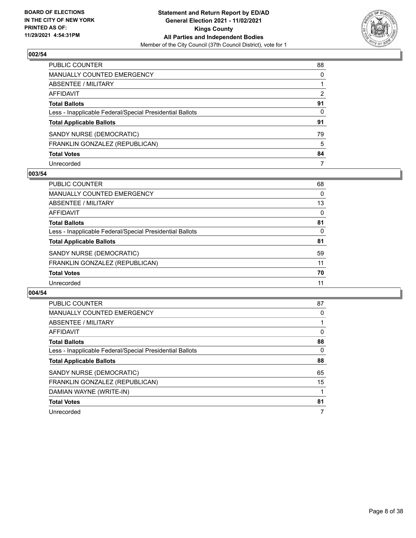

| PUBLIC COUNTER                                           | 88            |
|----------------------------------------------------------|---------------|
| MANUALLY COUNTED EMERGENCY                               | $\Omega$      |
| ABSENTEE / MILITARY                                      |               |
| <b>AFFIDAVIT</b>                                         | $\mathcal{P}$ |
| <b>Total Ballots</b>                                     | 91            |
| Less - Inapplicable Federal/Special Presidential Ballots | 0             |
| <b>Total Applicable Ballots</b>                          | 91            |
| SANDY NURSE (DEMOCRATIC)                                 | 79            |
| FRANKLIN GONZALEZ (REPUBLICAN)                           | 5             |
| <b>Total Votes</b>                                       | 84            |
| Unrecorded                                               | 7             |

## **003/54**

| <b>PUBLIC COUNTER</b>                                    | 68 |
|----------------------------------------------------------|----|
| <b>MANUALLY COUNTED EMERGENCY</b>                        | 0  |
| <b>ABSENTEE / MILITARY</b>                               | 13 |
| AFFIDAVIT                                                | 0  |
| <b>Total Ballots</b>                                     | 81 |
| Less - Inapplicable Federal/Special Presidential Ballots | 0  |
| <b>Total Applicable Ballots</b>                          | 81 |
| SANDY NURSE (DEMOCRATIC)                                 | 59 |
| FRANKLIN GONZALEZ (REPUBLICAN)                           | 11 |
| <b>Total Votes</b>                                       | 70 |
| Unrecorded                                               | 11 |

| <b>PUBLIC COUNTER</b>                                    | 87 |
|----------------------------------------------------------|----|
| <b>MANUALLY COUNTED EMERGENCY</b>                        | 0  |
| ABSENTEE / MILITARY                                      |    |
| AFFIDAVIT                                                | 0  |
| <b>Total Ballots</b>                                     | 88 |
| Less - Inapplicable Federal/Special Presidential Ballots | 0  |
| <b>Total Applicable Ballots</b>                          | 88 |
| SANDY NURSE (DEMOCRATIC)                                 | 65 |
|                                                          |    |
| FRANKLIN GONZALEZ (REPUBLICAN)                           | 15 |
| DAMIAN WAYNE (WRITE-IN)                                  |    |
| <b>Total Votes</b>                                       | 81 |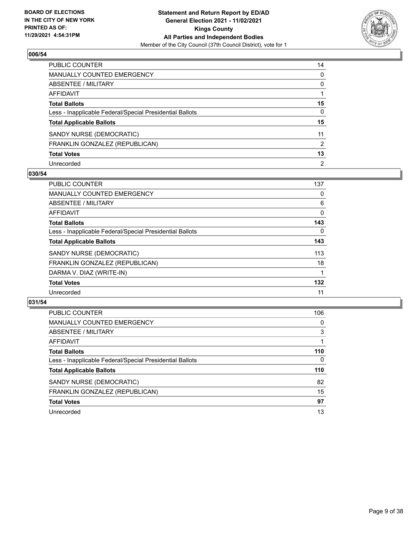

| PUBLIC COUNTER                                           | 14             |
|----------------------------------------------------------|----------------|
| MANUALLY COUNTED EMERGENCY                               | $\mathbf{0}$   |
| ABSENTEE / MILITARY                                      | $\mathbf{0}$   |
| <b>AFFIDAVIT</b>                                         |                |
| <b>Total Ballots</b>                                     | 15             |
| Less - Inapplicable Federal/Special Presidential Ballots | 0              |
| <b>Total Applicable Ballots</b>                          | 15             |
| SANDY NURSE (DEMOCRATIC)                                 | 11             |
| FRANKLIN GONZALEZ (REPUBLICAN)                           | 2              |
| <b>Total Votes</b>                                       | 13             |
| Unrecorded                                               | $\overline{2}$ |

## **030/54**

| <b>PUBLIC COUNTER</b>                                    | 137      |
|----------------------------------------------------------|----------|
| <b>MANUALLY COUNTED EMERGENCY</b>                        | 0        |
| ABSENTEE / MILITARY                                      | 6        |
| <b>AFFIDAVIT</b>                                         | 0        |
| <b>Total Ballots</b>                                     | 143      |
| Less - Inapplicable Federal/Special Presidential Ballots | $\Omega$ |
| <b>Total Applicable Ballots</b>                          | 143      |
| SANDY NURSE (DEMOCRATIC)                                 | 113      |
| FRANKLIN GONZALEZ (REPUBLICAN)                           | 18       |
| DARMA V. DIAZ (WRITE-IN)                                 |          |
| <b>Total Votes</b>                                       | 132      |
| Unrecorded                                               | 11       |

| <b>PUBLIC COUNTER</b>                                    | 106      |
|----------------------------------------------------------|----------|
| MANUALLY COUNTED EMERGENCY                               | 0        |
| ABSENTEE / MILITARY                                      | 3        |
| AFFIDAVIT                                                |          |
| <b>Total Ballots</b>                                     | 110      |
| Less - Inapplicable Federal/Special Presidential Ballots | $\Omega$ |
| <b>Total Applicable Ballots</b>                          | 110      |
| SANDY NURSE (DEMOCRATIC)                                 | 82       |
| FRANKLIN GONZALEZ (REPUBLICAN)                           | 15       |
| <b>Total Votes</b>                                       | 97       |
| Unrecorded                                               | 13       |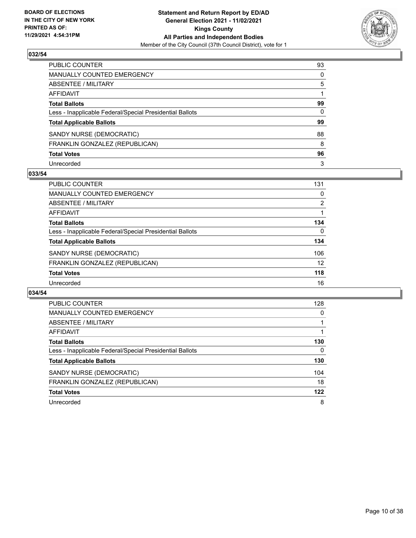

| PUBLIC COUNTER                                           | 93       |
|----------------------------------------------------------|----------|
| MANUALLY COUNTED EMERGENCY                               | $\Omega$ |
| ABSENTEE / MILITARY                                      | 5        |
| AFFIDAVIT                                                |          |
| Total Ballots                                            | 99       |
| Less - Inapplicable Federal/Special Presidential Ballots | 0        |
| <b>Total Applicable Ballots</b>                          | 99       |
| SANDY NURSE (DEMOCRATIC)                                 | 88       |
| FRANKLIN GONZALEZ (REPUBLICAN)                           | 8        |
| <b>Total Votes</b>                                       | 96       |
| Unrecorded                                               | 3        |

#### **033/54**

| PUBLIC COUNTER                                           | 131            |
|----------------------------------------------------------|----------------|
| <b>MANUALLY COUNTED EMERGENCY</b>                        | 0              |
| ABSENTEE / MILITARY                                      | $\overline{2}$ |
| AFFIDAVIT                                                |                |
| <b>Total Ballots</b>                                     | 134            |
| Less - Inapplicable Federal/Special Presidential Ballots | $\Omega$       |
| <b>Total Applicable Ballots</b>                          | 134            |
| SANDY NURSE (DEMOCRATIC)                                 | 106            |
| FRANKLIN GONZALEZ (REPUBLICAN)                           | 12             |
| <b>Total Votes</b>                                       | 118            |
| Unrecorded                                               | 16             |

| <b>PUBLIC COUNTER</b>                                    | 128 |
|----------------------------------------------------------|-----|
| <b>MANUALLY COUNTED EMERGENCY</b>                        | 0   |
| ABSENTEE / MILITARY                                      |     |
| <b>AFFIDAVIT</b>                                         |     |
| <b>Total Ballots</b>                                     | 130 |
| Less - Inapplicable Federal/Special Presidential Ballots | 0   |
| <b>Total Applicable Ballots</b>                          | 130 |
| SANDY NURSE (DEMOCRATIC)                                 | 104 |
| FRANKLIN GONZALEZ (REPUBLICAN)                           | 18  |
| <b>Total Votes</b>                                       | 122 |
| Unrecorded                                               | 8   |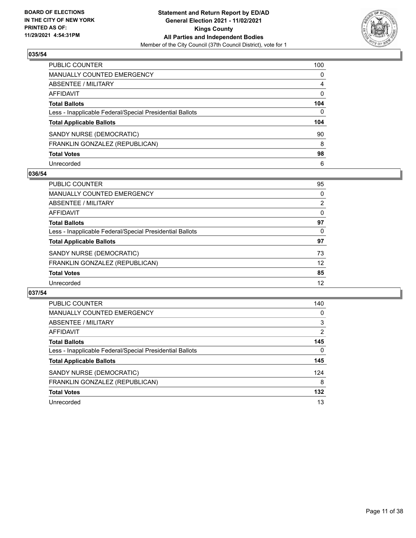

| PUBLIC COUNTER                                           | 100          |
|----------------------------------------------------------|--------------|
| <b>MANUALLY COUNTED EMERGENCY</b>                        | $\mathbf{0}$ |
| <b>ABSENTEE / MILITARY</b>                               | 4            |
| <b>AFFIDAVIT</b>                                         | $\mathbf{0}$ |
| <b>Total Ballots</b>                                     | 104          |
| Less - Inapplicable Federal/Special Presidential Ballots | $\mathbf{0}$ |
| <b>Total Applicable Ballots</b>                          | 104          |
| SANDY NURSE (DEMOCRATIC)                                 | 90           |
| FRANKLIN GONZALEZ (REPUBLICAN)                           | 8            |
| <b>Total Votes</b>                                       | 98           |
| Unrecorded                                               | 6            |

## **036/54**

| <b>PUBLIC COUNTER</b>                                    | 95       |
|----------------------------------------------------------|----------|
| MANUALLY COUNTED EMERGENCY                               | 0        |
| ABSENTEE / MILITARY                                      | 2        |
| AFFIDAVIT                                                | 0        |
| <b>Total Ballots</b>                                     | 97       |
| Less - Inapplicable Federal/Special Presidential Ballots | $\Omega$ |
| <b>Total Applicable Ballots</b>                          | 97       |
| SANDY NURSE (DEMOCRATIC)                                 | 73       |
| FRANKLIN GONZALEZ (REPUBLICAN)                           | 12       |
| <b>Total Votes</b>                                       | 85       |
| Unrecorded                                               | 12       |

| <b>PUBLIC COUNTER</b>                                    | 140            |
|----------------------------------------------------------|----------------|
| <b>MANUALLY COUNTED EMERGENCY</b>                        | 0              |
| ABSENTEE / MILITARY                                      | 3              |
| <b>AFFIDAVIT</b>                                         | $\overline{2}$ |
| <b>Total Ballots</b>                                     | 145            |
| Less - Inapplicable Federal/Special Presidential Ballots | 0              |
| <b>Total Applicable Ballots</b>                          | 145            |
| SANDY NURSE (DEMOCRATIC)                                 | 124            |
| FRANKLIN GONZALEZ (REPUBLICAN)                           | 8              |
| <b>Total Votes</b>                                       | 132            |
| Unrecorded                                               | 13             |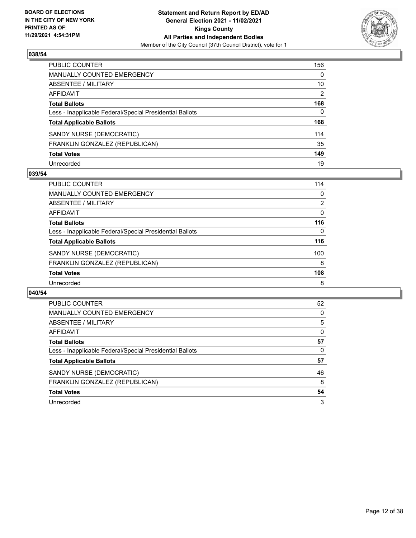

| PUBLIC COUNTER                                           | 156          |
|----------------------------------------------------------|--------------|
| <b>MANUALLY COUNTED EMERGENCY</b>                        | $\Omega$     |
| <b>ABSENTEE / MILITARY</b>                               | 10           |
| <b>AFFIDAVIT</b>                                         | 2            |
| <b>Total Ballots</b>                                     | 168          |
| Less - Inapplicable Federal/Special Presidential Ballots | $\mathbf{0}$ |
| <b>Total Applicable Ballots</b>                          | 168          |
| SANDY NURSE (DEMOCRATIC)                                 | 114          |
| FRANKLIN GONZALEZ (REPUBLICAN)                           | 35           |
| <b>Total Votes</b>                                       | 149          |
| Unrecorded                                               | 19           |

## **039/54**

| <b>PUBLIC COUNTER</b>                                    | 114      |
|----------------------------------------------------------|----------|
| <b>MANUALLY COUNTED EMERGENCY</b>                        | 0        |
| ABSENTEE / MILITARY                                      | 2        |
| AFFIDAVIT                                                | 0        |
| <b>Total Ballots</b>                                     | 116      |
| Less - Inapplicable Federal/Special Presidential Ballots | $\Omega$ |
| <b>Total Applicable Ballots</b>                          | 116      |
| SANDY NURSE (DEMOCRATIC)                                 | 100      |
| FRANKLIN GONZALEZ (REPUBLICAN)                           | 8        |
| <b>Total Votes</b>                                       | 108      |
| Unrecorded                                               | 8        |

| <b>PUBLIC COUNTER</b>                                    | 52 |
|----------------------------------------------------------|----|
| <b>MANUALLY COUNTED EMERGENCY</b>                        | 0  |
| ABSENTEE / MILITARY                                      | 5  |
| <b>AFFIDAVIT</b>                                         | 0  |
| <b>Total Ballots</b>                                     | 57 |
| Less - Inapplicable Federal/Special Presidential Ballots | 0  |
| <b>Total Applicable Ballots</b>                          | 57 |
| SANDY NURSE (DEMOCRATIC)                                 | 46 |
| FRANKLIN GONZALEZ (REPUBLICAN)                           | 8  |
| <b>Total Votes</b>                                       | 54 |
| Unrecorded                                               | 3  |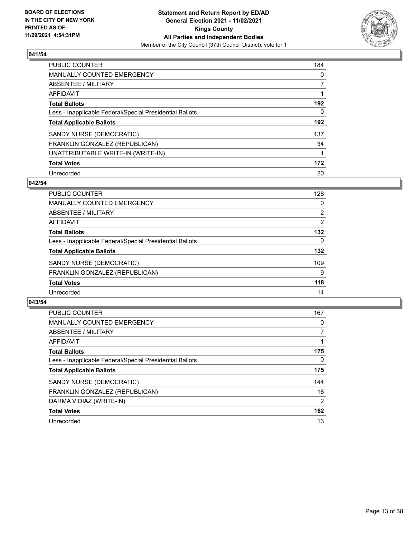

| <b>PUBLIC COUNTER</b>                                    | 184      |
|----------------------------------------------------------|----------|
| MANUALLY COUNTED EMERGENCY                               | $\Omega$ |
| ABSENTEE / MILITARY                                      |          |
| AFFIDAVIT                                                |          |
| <b>Total Ballots</b>                                     | 192      |
| Less - Inapplicable Federal/Special Presidential Ballots | 0        |
| <b>Total Applicable Ballots</b>                          | 192      |
| SANDY NURSE (DEMOCRATIC)                                 | 137      |
| FRANKLIN GONZALEZ (REPUBLICAN)                           | 34       |
| UNATTRIBUTABLE WRITE-IN (WRITE-IN)                       |          |
| <b>Total Votes</b>                                       | 172      |
| Unrecorded                                               | 20       |

## **042/54**

| <b>PUBLIC COUNTER</b>                                    | 128      |
|----------------------------------------------------------|----------|
| MANUALLY COUNTED EMERGENCY                               | 0        |
| ABSENTEE / MILITARY                                      | 2        |
| AFFIDAVIT                                                | 2        |
| <b>Total Ballots</b>                                     | 132      |
| Less - Inapplicable Federal/Special Presidential Ballots | $\Omega$ |
| <b>Total Applicable Ballots</b>                          | 132      |
| SANDY NURSE (DEMOCRATIC)                                 | 109      |
| FRANKLIN GONZALEZ (REPUBLICAN)                           | 9        |
| <b>Total Votes</b>                                       | 118      |
| Unrecorded                                               | 14       |

| <b>PUBLIC COUNTER</b>                                    | 167            |
|----------------------------------------------------------|----------------|
| <b>MANUALLY COUNTED EMERGENCY</b>                        | 0              |
| ABSENTEE / MILITARY                                      | $\overline{7}$ |
| <b>AFFIDAVIT</b>                                         |                |
| <b>Total Ballots</b>                                     | 175            |
| Less - Inapplicable Federal/Special Presidential Ballots | $\mathbf{0}$   |
| <b>Total Applicable Ballots</b>                          | 175            |
| SANDY NURSE (DEMOCRATIC)                                 | 144            |
| FRANKLIN GONZALEZ (REPUBLICAN)                           | 16             |
| DARMA V.DIAZ (WRITE-IN)                                  | $\overline{2}$ |
| <b>Total Votes</b>                                       | 162            |
| Unrecorded                                               | 13             |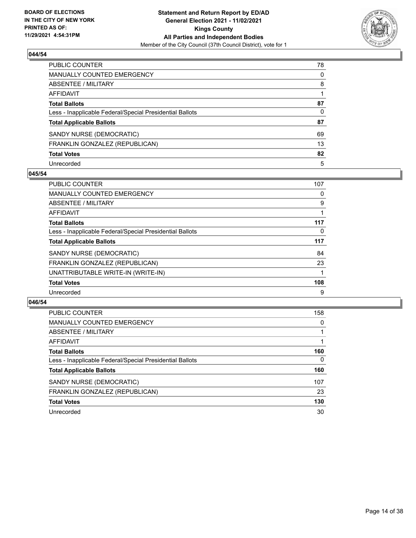

| PUBLIC COUNTER                                           | 78       |
|----------------------------------------------------------|----------|
| <b>MANUALLY COUNTED EMERGENCY</b>                        | $\Omega$ |
| <b>ABSENTEE / MILITARY</b>                               | 8        |
| <b>AFFIDAVIT</b>                                         |          |
| <b>Total Ballots</b>                                     | 87       |
| Less - Inapplicable Federal/Special Presidential Ballots | 0        |
| <b>Total Applicable Ballots</b>                          | 87       |
| SANDY NURSE (DEMOCRATIC)                                 | 69       |
| FRANKLIN GONZALEZ (REPUBLICAN)                           | 13       |
| <b>Total Votes</b>                                       | 82       |
| Unrecorded                                               | 5        |

#### **045/54**

| <b>PUBLIC COUNTER</b>                                    | 107 |
|----------------------------------------------------------|-----|
| <b>MANUALLY COUNTED EMERGENCY</b>                        | 0   |
| ABSENTEE / MILITARY                                      | 9   |
| AFFIDAVIT                                                |     |
| <b>Total Ballots</b>                                     | 117 |
| Less - Inapplicable Federal/Special Presidential Ballots | 0   |
| <b>Total Applicable Ballots</b>                          | 117 |
| SANDY NURSE (DEMOCRATIC)                                 | 84  |
| FRANKLIN GONZALEZ (REPUBLICAN)                           | 23  |
| UNATTRIBUTABLE WRITE-IN (WRITE-IN)                       |     |
| <b>Total Votes</b>                                       | 108 |
| Unrecorded                                               | 9   |

| <b>PUBLIC COUNTER</b>                                    | 158      |
|----------------------------------------------------------|----------|
| MANUALLY COUNTED EMERGENCY                               | $\Omega$ |
| ABSENTEE / MILITARY                                      |          |
| AFFIDAVIT                                                |          |
| <b>Total Ballots</b>                                     | 160      |
| Less - Inapplicable Federal/Special Presidential Ballots | $\Omega$ |
| <b>Total Applicable Ballots</b>                          | 160      |
| SANDY NURSE (DEMOCRATIC)                                 | 107      |
| FRANKLIN GONZALEZ (REPUBLICAN)                           | 23       |
| <b>Total Votes</b>                                       | 130      |
| Unrecorded                                               | 30       |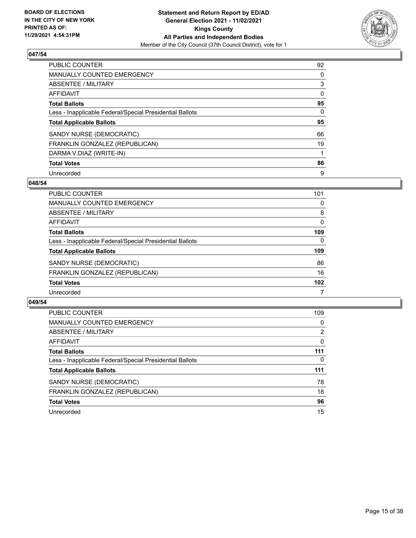

| PUBLIC COUNTER                                           | 92       |
|----------------------------------------------------------|----------|
| <b>MANUALLY COUNTED EMERGENCY</b>                        | 0        |
| ABSENTEE / MILITARY                                      | 3        |
| AFFIDAVIT                                                | $\Omega$ |
| <b>Total Ballots</b>                                     | 95       |
| Less - Inapplicable Federal/Special Presidential Ballots | $\Omega$ |
| <b>Total Applicable Ballots</b>                          | 95       |
| SANDY NURSE (DEMOCRATIC)                                 | 66       |
| FRANKLIN GONZALEZ (REPUBLICAN)                           | 19       |
| DARMA V.DIAZ (WRITE-IN)                                  |          |
| <b>Total Votes</b>                                       | 86       |
| Unrecorded                                               | 9        |

## **048/54**

| <b>PUBLIC COUNTER</b>                                    | 101      |
|----------------------------------------------------------|----------|
| <b>MANUALLY COUNTED EMERGENCY</b>                        | 0        |
| ABSENTEE / MILITARY                                      | 8        |
| AFFIDAVIT                                                | $\Omega$ |
| <b>Total Ballots</b>                                     | 109      |
| Less - Inapplicable Federal/Special Presidential Ballots | $\Omega$ |
| <b>Total Applicable Ballots</b>                          | 109      |
| SANDY NURSE (DEMOCRATIC)                                 | 86       |
| FRANKLIN GONZALEZ (REPUBLICAN)                           | 16       |
| <b>Total Votes</b>                                       | 102      |
| Unrecorded                                               |          |

| <b>PUBLIC COUNTER</b>                                    | 109      |
|----------------------------------------------------------|----------|
| MANUALLY COUNTED EMERGENCY                               | 0        |
| ABSENTEE / MILITARY                                      | 2        |
| AFFIDAVIT                                                | $\Omega$ |
| <b>Total Ballots</b>                                     | 111      |
| Less - Inapplicable Federal/Special Presidential Ballots | 0        |
| <b>Total Applicable Ballots</b>                          | 111      |
| SANDY NURSE (DEMOCRATIC)                                 | 78       |
| FRANKLIN GONZALEZ (REPUBLICAN)                           | 18       |
| <b>Total Votes</b>                                       | 96       |
| Unrecorded                                               | 15       |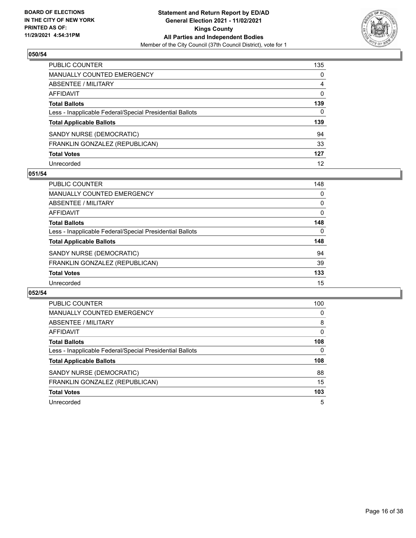

| PUBLIC COUNTER                                           | 135            |
|----------------------------------------------------------|----------------|
| <b>MANUALLY COUNTED EMERGENCY</b>                        | 0              |
| ABSENTEE / MILITARY                                      | $\overline{4}$ |
| AFFIDAVIT                                                | $\mathbf{0}$   |
| <b>Total Ballots</b>                                     | 139            |
| Less - Inapplicable Federal/Special Presidential Ballots | $\mathbf{0}$   |
| <b>Total Applicable Ballots</b>                          | 139            |
| SANDY NURSE (DEMOCRATIC)                                 | 94             |
| FRANKLIN GONZALEZ (REPUBLICAN)                           | 33             |
| <b>Total Votes</b>                                       | 127            |
| Unrecorded                                               | 12             |

## **051/54**

| <b>PUBLIC COUNTER</b>                                    | 148      |
|----------------------------------------------------------|----------|
| <b>MANUALLY COUNTED EMERGENCY</b>                        | 0        |
| <b>ABSENTEE / MILITARY</b>                               | 0        |
| AFFIDAVIT                                                | 0        |
| <b>Total Ballots</b>                                     | 148      |
| Less - Inapplicable Federal/Special Presidential Ballots | $\Omega$ |
| <b>Total Applicable Ballots</b>                          | 148      |
| SANDY NURSE (DEMOCRATIC)                                 | 94       |
| FRANKLIN GONZALEZ (REPUBLICAN)                           | 39       |
| <b>Total Votes</b>                                       | 133      |
| Unrecorded                                               | 15       |

| <b>PUBLIC COUNTER</b>                                    | 100      |
|----------------------------------------------------------|----------|
| <b>MANUALLY COUNTED EMERGENCY</b>                        | 0        |
| ABSENTEE / MILITARY                                      | 8        |
| <b>AFFIDAVIT</b>                                         | $\Omega$ |
| <b>Total Ballots</b>                                     | 108      |
| Less - Inapplicable Federal/Special Presidential Ballots | 0        |
| <b>Total Applicable Ballots</b>                          | 108      |
| SANDY NURSE (DEMOCRATIC)                                 | 88       |
| FRANKLIN GONZALEZ (REPUBLICAN)                           | 15       |
| <b>Total Votes</b>                                       | 103      |
|                                                          |          |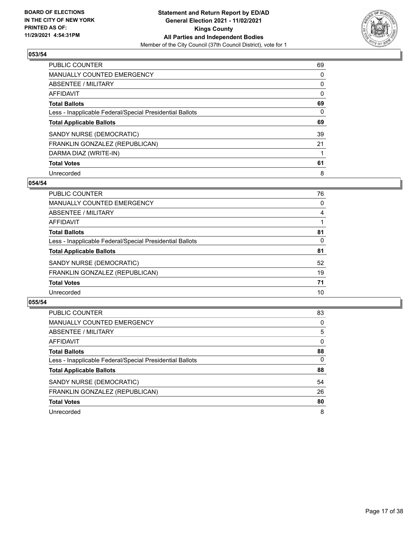

| <b>PUBLIC COUNTER</b>                                    | 69       |
|----------------------------------------------------------|----------|
| <b>MANUALLY COUNTED EMERGENCY</b>                        | 0        |
| ABSENTEE / MILITARY                                      | 0        |
| AFFIDAVIT                                                | 0        |
| <b>Total Ballots</b>                                     | 69       |
| Less - Inapplicable Federal/Special Presidential Ballots | $\Omega$ |
| <b>Total Applicable Ballots</b>                          | 69       |
| SANDY NURSE (DEMOCRATIC)                                 | 39       |
| FRANKLIN GONZALEZ (REPUBLICAN)                           | 21       |
| DARMA DIAZ (WRITE-IN)                                    |          |
| <b>Total Votes</b>                                       | 61       |
| Unrecorded                                               | 8        |

#### **054/54**

| PUBLIC COUNTER                                           | 76       |
|----------------------------------------------------------|----------|
| <b>MANUALLY COUNTED EMERGENCY</b>                        | 0        |
| ABSENTEE / MILITARY                                      | 4        |
| AFFIDAVIT                                                |          |
| <b>Total Ballots</b>                                     | 81       |
| Less - Inapplicable Federal/Special Presidential Ballots | $\Omega$ |
| <b>Total Applicable Ballots</b>                          | 81       |
| SANDY NURSE (DEMOCRATIC)                                 | 52       |
| FRANKLIN GONZALEZ (REPUBLICAN)                           | 19       |
| <b>Total Votes</b>                                       | 71       |
| Unrecorded                                               | 10       |

| <b>PUBLIC COUNTER</b>                                    | 83       |
|----------------------------------------------------------|----------|
| <b>MANUALLY COUNTED EMERGENCY</b>                        | 0        |
| ABSENTEE / MILITARY                                      | 5        |
| AFFIDAVIT                                                | $\Omega$ |
| <b>Total Ballots</b>                                     | 88       |
| Less - Inapplicable Federal/Special Presidential Ballots | 0        |
| <b>Total Applicable Ballots</b>                          | 88       |
| SANDY NURSE (DEMOCRATIC)                                 | 54       |
| FRANKLIN GONZALEZ (REPUBLICAN)                           | 26       |
| <b>Total Votes</b>                                       | 80       |
| Unrecorded                                               | 8        |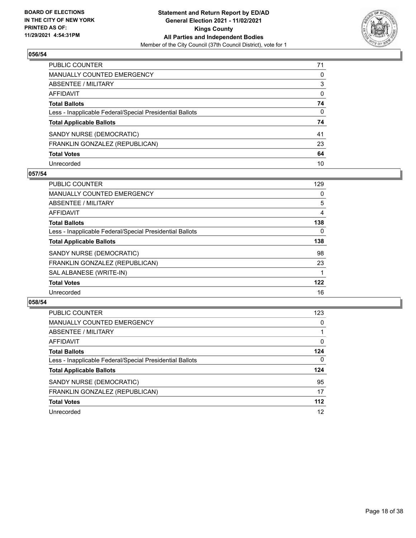

| PUBLIC COUNTER                                           | 71           |
|----------------------------------------------------------|--------------|
| MANUALLY COUNTED EMERGENCY                               | $\Omega$     |
| ABSENTEE / MILITARY                                      | 3            |
| <b>AFFIDAVIT</b>                                         | $\mathbf{0}$ |
| <b>Total Ballots</b>                                     | 74           |
| Less - Inapplicable Federal/Special Presidential Ballots | $\mathbf{0}$ |
| <b>Total Applicable Ballots</b>                          | 74           |
| SANDY NURSE (DEMOCRATIC)                                 | 41           |
| FRANKLIN GONZALEZ (REPUBLICAN)                           | 23           |
| <b>Total Votes</b>                                       | 64           |
| Unrecorded                                               | 10           |

## **057/54**

| <b>PUBLIC COUNTER</b>                                    | 129      |
|----------------------------------------------------------|----------|
| <b>MANUALLY COUNTED EMERGENCY</b>                        | 0        |
| ABSENTEE / MILITARY                                      | 5        |
| AFFIDAVIT                                                | 4        |
| <b>Total Ballots</b>                                     | 138      |
| Less - Inapplicable Federal/Special Presidential Ballots | $\Omega$ |
| <b>Total Applicable Ballots</b>                          | 138      |
| SANDY NURSE (DEMOCRATIC)                                 | 98       |
| FRANKLIN GONZALEZ (REPUBLICAN)                           | 23       |
| SAL ALBANESE (WRITE-IN)                                  |          |
| <b>Total Votes</b>                                       | 122      |
| Unrecorded                                               | 16       |

| <b>PUBLIC COUNTER</b>                                    | 123      |
|----------------------------------------------------------|----------|
| <b>MANUALLY COUNTED EMERGENCY</b>                        | 0        |
| ABSENTEE / MILITARY                                      |          |
| AFFIDAVIT                                                | $\Omega$ |
| <b>Total Ballots</b>                                     | 124      |
| Less - Inapplicable Federal/Special Presidential Ballots | $\Omega$ |
| <b>Total Applicable Ballots</b>                          | 124      |
| SANDY NURSE (DEMOCRATIC)                                 | 95       |
| FRANKLIN GONZALEZ (REPUBLICAN)                           | 17       |
| <b>Total Votes</b>                                       | $112$    |
| Unrecorded                                               | 12       |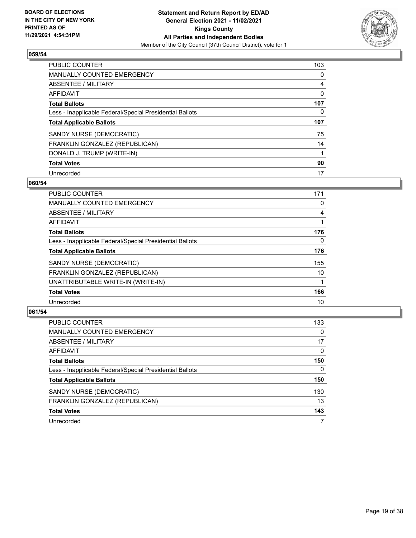

| <b>PUBLIC COUNTER</b>                                    | 103      |
|----------------------------------------------------------|----------|
| <b>MANUALLY COUNTED EMERGENCY</b>                        | $\Omega$ |
| ABSENTEE / MILITARY                                      | 4        |
| <b>AFFIDAVIT</b>                                         | 0        |
| <b>Total Ballots</b>                                     | 107      |
| Less - Inapplicable Federal/Special Presidential Ballots | 0        |
| <b>Total Applicable Ballots</b>                          | 107      |
| SANDY NURSE (DEMOCRATIC)                                 | 75       |
| FRANKLIN GONZALEZ (REPUBLICAN)                           | 14       |
| DONALD J. TRUMP (WRITE-IN)                               |          |
| <b>Total Votes</b>                                       | 90       |
| Unrecorded                                               | 17       |

#### **060/54**

| <b>PUBLIC COUNTER</b>                                    | 171      |
|----------------------------------------------------------|----------|
| MANUALLY COUNTED EMERGENCY                               | 0        |
| ABSENTEE / MILITARY                                      | 4        |
| <b>AFFIDAVIT</b>                                         |          |
| <b>Total Ballots</b>                                     | 176      |
| Less - Inapplicable Federal/Special Presidential Ballots | $\Omega$ |
| <b>Total Applicable Ballots</b>                          | 176      |
| SANDY NURSE (DEMOCRATIC)                                 | 155      |
| FRANKLIN GONZALEZ (REPUBLICAN)                           | 10       |
| UNATTRIBUTABLE WRITE-IN (WRITE-IN)                       |          |
| <b>Total Votes</b>                                       | 166      |
| Unrecorded                                               | 10       |

| <b>PUBLIC COUNTER</b>                                    | 133      |
|----------------------------------------------------------|----------|
| <b>MANUALLY COUNTED EMERGENCY</b>                        | $\Omega$ |
| ABSENTEE / MILITARY                                      | 17       |
| AFFIDAVIT                                                | 0        |
| <b>Total Ballots</b>                                     | 150      |
| Less - Inapplicable Federal/Special Presidential Ballots | $\Omega$ |
| <b>Total Applicable Ballots</b>                          | 150      |
| SANDY NURSE (DEMOCRATIC)                                 | 130      |
| FRANKLIN GONZALEZ (REPUBLICAN)                           | 13       |
| <b>Total Votes</b>                                       | 143      |
| Unrecorded                                               | 7        |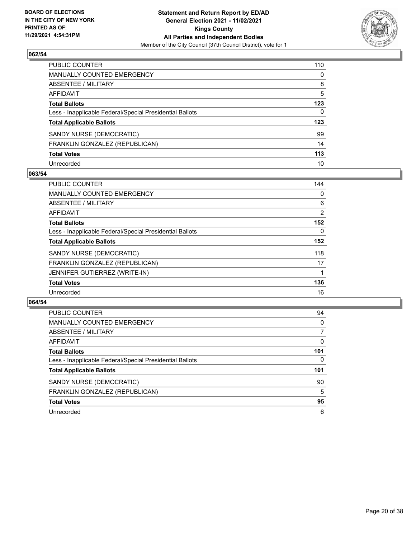

| PUBLIC COUNTER                                           | 110          |
|----------------------------------------------------------|--------------|
| MANUALLY COUNTED EMERGENCY                               | $\mathbf{0}$ |
| ABSENTEE / MILITARY                                      | 8            |
| <b>AFFIDAVIT</b>                                         | 5            |
| <b>Total Ballots</b>                                     | 123          |
| Less - Inapplicable Federal/Special Presidential Ballots | 0            |
| <b>Total Applicable Ballots</b>                          | 123          |
| SANDY NURSE (DEMOCRATIC)                                 | 99           |
| FRANKLIN GONZALEZ (REPUBLICAN)                           | 14           |
| <b>Total Votes</b>                                       | 113          |
| Unrecorded                                               | 10           |

## **063/54**

| <b>PUBLIC COUNTER</b>                                    | 144            |
|----------------------------------------------------------|----------------|
| <b>MANUALLY COUNTED EMERGENCY</b>                        | 0              |
| ABSENTEE / MILITARY                                      | 6              |
| AFFIDAVIT                                                | $\overline{2}$ |
| <b>Total Ballots</b>                                     | 152            |
| Less - Inapplicable Federal/Special Presidential Ballots | $\Omega$       |
| <b>Total Applicable Ballots</b>                          | 152            |
| SANDY NURSE (DEMOCRATIC)                                 | 118            |
| FRANKLIN GONZALEZ (REPUBLICAN)                           | 17             |
| JENNIFER GUTIERREZ (WRITE-IN)                            |                |
| <b>Total Votes</b>                                       | 136            |
| Unrecorded                                               | 16             |

| <b>PUBLIC COUNTER</b>                                    | 94       |
|----------------------------------------------------------|----------|
| <b>MANUALLY COUNTED EMERGENCY</b>                        | $\Omega$ |
| ABSENTEE / MILITARY                                      | 7        |
| AFFIDAVIT                                                | $\Omega$ |
| <b>Total Ballots</b>                                     | 101      |
| Less - Inapplicable Federal/Special Presidential Ballots | $\Omega$ |
| <b>Total Applicable Ballots</b>                          | 101      |
| SANDY NURSE (DEMOCRATIC)                                 | 90       |
| FRANKLIN GONZALEZ (REPUBLICAN)                           | 5        |
| <b>Total Votes</b>                                       | 95       |
| Unrecorded                                               | 6        |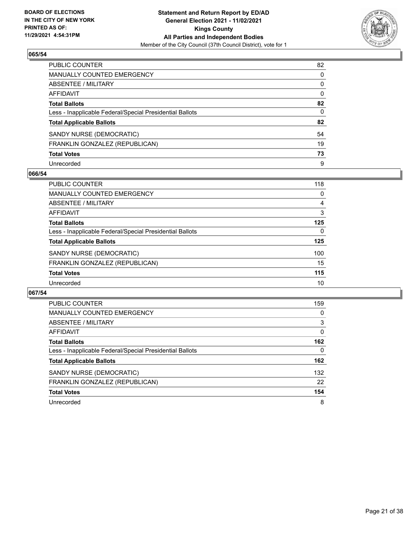

| PUBLIC COUNTER                                           | 82           |
|----------------------------------------------------------|--------------|
| <b>MANUALLY COUNTED EMERGENCY</b>                        | 0            |
| ABSENTEE / MILITARY                                      | 0            |
| AFFIDAVIT                                                | $\mathbf{0}$ |
| <b>Total Ballots</b>                                     | 82           |
| Less - Inapplicable Federal/Special Presidential Ballots | $\mathbf{0}$ |
| <b>Total Applicable Ballots</b>                          | 82           |
| SANDY NURSE (DEMOCRATIC)                                 | 54           |
| FRANKLIN GONZALEZ (REPUBLICAN)                           | 19           |
| <b>Total Votes</b>                                       | 73           |
| Unrecorded                                               | 9            |

## **066/54**

| <b>PUBLIC COUNTER</b>                                    | 118      |
|----------------------------------------------------------|----------|
| <b>MANUALLY COUNTED EMERGENCY</b>                        | 0        |
| ABSENTEE / MILITARY                                      | 4        |
| AFFIDAVIT                                                | 3        |
| <b>Total Ballots</b>                                     | 125      |
| Less - Inapplicable Federal/Special Presidential Ballots | $\Omega$ |
| <b>Total Applicable Ballots</b>                          | 125      |
| SANDY NURSE (DEMOCRATIC)                                 | 100      |
| FRANKLIN GONZALEZ (REPUBLICAN)                           | 15       |
| <b>Total Votes</b>                                       | 115      |
| Unrecorded                                               | 10       |

| <b>PUBLIC COUNTER</b>                                    | 159      |
|----------------------------------------------------------|----------|
| <b>MANUALLY COUNTED EMERGENCY</b>                        | 0        |
| ABSENTEE / MILITARY                                      | 3        |
| AFFIDAVIT                                                | $\Omega$ |
| <b>Total Ballots</b>                                     | 162      |
| Less - Inapplicable Federal/Special Presidential Ballots | 0        |
| <b>Total Applicable Ballots</b>                          | 162      |
| SANDY NURSE (DEMOCRATIC)                                 | 132      |
| FRANKLIN GONZALEZ (REPUBLICAN)                           | 22       |
| <b>Total Votes</b>                                       | 154      |
| Unrecorded                                               | 8        |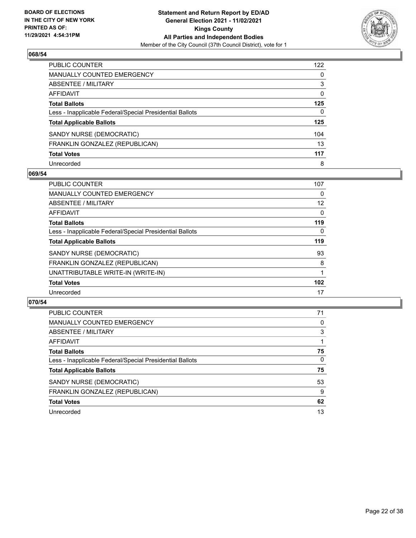

| PUBLIC COUNTER                                           | 122          |
|----------------------------------------------------------|--------------|
| MANUALLY COUNTED EMERGENCY                               | $\Omega$     |
| <b>ABSENTEE / MILITARY</b>                               | 3            |
| AFFIDAVIT                                                | $\mathbf{0}$ |
| <b>Total Ballots</b>                                     | 125          |
| Less - Inapplicable Federal/Special Presidential Ballots | $\mathbf{0}$ |
| <b>Total Applicable Ballots</b>                          | 125          |
| SANDY NURSE (DEMOCRATIC)                                 | 104          |
| FRANKLIN GONZALEZ (REPUBLICAN)                           | 13           |
| <b>Total Votes</b>                                       | 117          |
| Unrecorded                                               | 8            |

## **069/54**

| <b>PUBLIC COUNTER</b>                                    | 107 |
|----------------------------------------------------------|-----|
| MANUALLY COUNTED EMERGENCY                               | 0   |
| ABSENTEE / MILITARY                                      | 12  |
| AFFIDAVIT                                                | 0   |
| <b>Total Ballots</b>                                     | 119 |
| Less - Inapplicable Federal/Special Presidential Ballots | 0   |
| <b>Total Applicable Ballots</b>                          | 119 |
| SANDY NURSE (DEMOCRATIC)                                 | 93  |
| FRANKLIN GONZALEZ (REPUBLICAN)                           | 8   |
| UNATTRIBUTABLE WRITE-IN (WRITE-IN)                       |     |
| <b>Total Votes</b>                                       | 102 |
| Unrecorded                                               | 17  |

| PUBLIC COUNTER                                           | 71       |
|----------------------------------------------------------|----------|
| MANUALLY COUNTED EMERGENCY                               | 0        |
| ABSENTEE / MILITARY                                      | 3        |
| AFFIDAVIT                                                |          |
| <b>Total Ballots</b>                                     | 75       |
| Less - Inapplicable Federal/Special Presidential Ballots | $\Omega$ |
| <b>Total Applicable Ballots</b>                          | 75       |
| SANDY NURSE (DEMOCRATIC)                                 | 53       |
| FRANKLIN GONZALEZ (REPUBLICAN)                           | 9        |
| <b>Total Votes</b>                                       | 62       |
| Unrecorded                                               | 13       |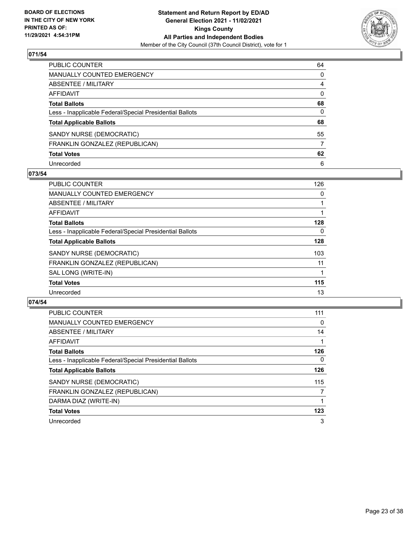

| PUBLIC COUNTER                                           | 64           |
|----------------------------------------------------------|--------------|
| MANUALLY COUNTED EMERGENCY                               | $\mathbf{0}$ |
| ABSENTEE / MILITARY                                      | 4            |
| AFFIDAVIT                                                | $\mathbf{0}$ |
| Total Ballots                                            | 68           |
| Less - Inapplicable Federal/Special Presidential Ballots | $\mathbf{0}$ |
| <b>Total Applicable Ballots</b>                          | 68           |
| SANDY NURSE (DEMOCRATIC)                                 | 55           |
| FRANKLIN GONZALEZ (REPUBLICAN)                           | 7            |
| <b>Total Votes</b>                                       | 62           |
| Unrecorded                                               | 6            |

## **073/54**

| <b>PUBLIC COUNTER</b>                                    | 126      |
|----------------------------------------------------------|----------|
| <b>MANUALLY COUNTED EMERGENCY</b>                        | 0        |
| ABSENTEE / MILITARY                                      |          |
| <b>AFFIDAVIT</b>                                         |          |
| <b>Total Ballots</b>                                     | 128      |
| Less - Inapplicable Federal/Special Presidential Ballots | $\Omega$ |
| <b>Total Applicable Ballots</b>                          | 128      |
| SANDY NURSE (DEMOCRATIC)                                 | 103      |
| FRANKLIN GONZALEZ (REPUBLICAN)                           | 11       |
| SAL LONG (WRITE-IN)                                      |          |
| <b>Total Votes</b>                                       | 115      |
| Unrecorded                                               | 13       |

| <b>PUBLIC COUNTER</b>                                    | 111            |
|----------------------------------------------------------|----------------|
| <b>MANUALLY COUNTED EMERGENCY</b>                        | 0              |
| ABSENTEE / MILITARY                                      | 14             |
| <b>AFFIDAVIT</b>                                         |                |
| <b>Total Ballots</b>                                     | 126            |
| Less - Inapplicable Federal/Special Presidential Ballots | $\Omega$       |
| <b>Total Applicable Ballots</b>                          | 126            |
| SANDY NURSE (DEMOCRATIC)                                 | 115            |
| FRANKLIN GONZALEZ (REPUBLICAN)                           | $\overline{7}$ |
| DARMA DIAZ (WRITE-IN)                                    |                |
| <b>Total Votes</b>                                       | 123            |
| Unrecorded                                               | 3              |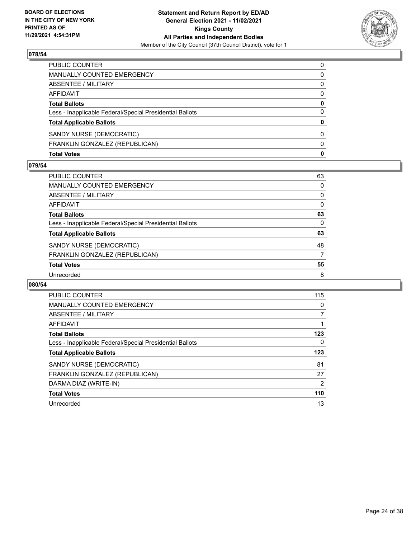

| <b>Total Votes</b>                                       | 0        |
|----------------------------------------------------------|----------|
| FRANKLIN GONZALEZ (REPUBLICAN)                           | 0        |
| SANDY NURSE (DEMOCRATIC)                                 | 0        |
| <b>Total Applicable Ballots</b>                          | 0        |
| Less - Inapplicable Federal/Special Presidential Ballots | 0        |
| <b>Total Ballots</b>                                     | 0        |
| AFFIDAVIT                                                | 0        |
| <b>ABSENTEE / MILITARY</b>                               | $\Omega$ |
| MANUALLY COUNTED EMERGENCY                               | 0        |
| PUBLIC COUNTER                                           | $\Omega$ |

#### **079/54**

| PUBLIC COUNTER                                           | 63 |
|----------------------------------------------------------|----|
| MANUALLY COUNTED EMERGENCY                               | 0  |
| <b>ABSENTEE / MILITARY</b>                               | 0  |
| AFFIDAVIT                                                | 0  |
| <b>Total Ballots</b>                                     | 63 |
| Less - Inapplicable Federal/Special Presidential Ballots | 0  |
| <b>Total Applicable Ballots</b>                          | 63 |
| SANDY NURSE (DEMOCRATIC)                                 | 48 |
| FRANKLIN GONZALEZ (REPUBLICAN)                           | 7  |
| <b>Total Votes</b>                                       | 55 |
| Unrecorded                                               | 8  |

| <b>PUBLIC COUNTER</b>                                    | 115            |
|----------------------------------------------------------|----------------|
| <b>MANUALLY COUNTED EMERGENCY</b>                        | 0              |
| ABSENTEE / MILITARY                                      | $\overline{7}$ |
| AFFIDAVIT                                                |                |
| <b>Total Ballots</b>                                     | 123            |
| Less - Inapplicable Federal/Special Presidential Ballots | $\Omega$       |
| <b>Total Applicable Ballots</b>                          | 123            |
| SANDY NURSE (DEMOCRATIC)                                 | 81             |
| FRANKLIN GONZALEZ (REPUBLICAN)                           | 27             |
| DARMA DIAZ (WRITE-IN)                                    | $\overline{2}$ |
| <b>Total Votes</b>                                       | 110            |
| Unrecorded                                               | 13             |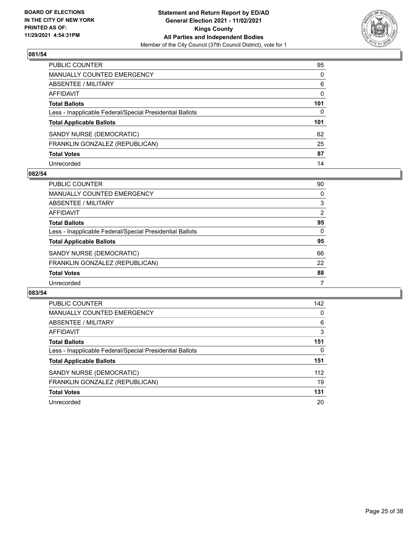

| PUBLIC COUNTER                                           | 95       |
|----------------------------------------------------------|----------|
| MANUALLY COUNTED EMERGENCY                               | $\Omega$ |
| ABSENTEE / MILITARY                                      | 6        |
| <b>AFFIDAVIT</b>                                         | $\Omega$ |
| <b>Total Ballots</b>                                     | 101      |
| Less - Inapplicable Federal/Special Presidential Ballots | 0        |
| <b>Total Applicable Ballots</b>                          | 101      |
| SANDY NURSE (DEMOCRATIC)                                 | 62       |
| FRANKLIN GONZALEZ (REPUBLICAN)                           | 25       |
| <b>Total Votes</b>                                       | 87       |
| Unrecorded                                               | 14       |

#### **082/54**

| <b>PUBLIC COUNTER</b>                                    | 90 |
|----------------------------------------------------------|----|
| <b>MANUALLY COUNTED EMERGENCY</b>                        | 0  |
| ABSENTEE / MILITARY                                      | 3  |
| AFFIDAVIT                                                | 2  |
| <b>Total Ballots</b>                                     | 95 |
| Less - Inapplicable Federal/Special Presidential Ballots | 0  |
| <b>Total Applicable Ballots</b>                          | 95 |
| SANDY NURSE (DEMOCRATIC)                                 | 66 |
| FRANKLIN GONZALEZ (REPUBLICAN)                           | 22 |
| <b>Total Votes</b>                                       | 88 |
| Unrecorded                                               |    |

| <b>PUBLIC COUNTER</b>                                    | 142 |
|----------------------------------------------------------|-----|
| <b>MANUALLY COUNTED EMERGENCY</b>                        | 0   |
| ABSENTEE / MILITARY                                      | 6   |
| <b>AFFIDAVIT</b>                                         | 3   |
| <b>Total Ballots</b>                                     | 151 |
| Less - Inapplicable Federal/Special Presidential Ballots | 0   |
| <b>Total Applicable Ballots</b>                          | 151 |
| SANDY NURSE (DEMOCRATIC)                                 | 112 |
| FRANKLIN GONZALEZ (REPUBLICAN)                           | 19  |
| <b>Total Votes</b>                                       | 131 |
| Unrecorded                                               | 20  |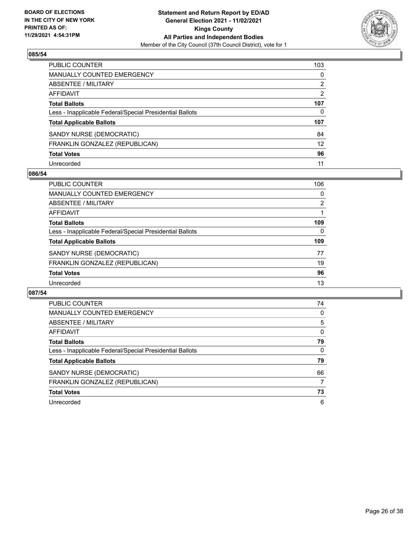

| PUBLIC COUNTER                                           | 103             |
|----------------------------------------------------------|-----------------|
| <b>MANUALLY COUNTED EMERGENCY</b>                        | 0               |
| ABSENTEE / MILITARY                                      | 2               |
| AFFIDAVIT                                                | 2               |
| <b>Total Ballots</b>                                     | 107             |
| Less - Inapplicable Federal/Special Presidential Ballots | 0               |
| <b>Total Applicable Ballots</b>                          | 107             |
| SANDY NURSE (DEMOCRATIC)                                 | 84              |
| FRANKLIN GONZALEZ (REPUBLICAN)                           | 12 <sup>2</sup> |
| <b>Total Votes</b>                                       | 96              |
| Unrecorded                                               | 11              |

## **086/54**

| <b>PUBLIC COUNTER</b>                                    | 106      |
|----------------------------------------------------------|----------|
| MANUALLY COUNTED EMERGENCY                               | 0        |
| ABSENTEE / MILITARY                                      | 2        |
| AFFIDAVIT                                                |          |
| <b>Total Ballots</b>                                     | 109      |
| Less - Inapplicable Federal/Special Presidential Ballots | $\Omega$ |
| <b>Total Applicable Ballots</b>                          | 109      |
| SANDY NURSE (DEMOCRATIC)                                 | 77       |
| FRANKLIN GONZALEZ (REPUBLICAN)                           | 19       |
| <b>Total Votes</b>                                       | 96       |
| Unrecorded                                               | 13       |

| PUBLIC COUNTER                                           | 74       |
|----------------------------------------------------------|----------|
| <b>MANUALLY COUNTED EMERGENCY</b>                        | 0        |
| ABSENTEE / MILITARY                                      | 5        |
| <b>AFFIDAVIT</b>                                         | $\Omega$ |
| <b>Total Ballots</b>                                     | 79       |
| Less - Inapplicable Federal/Special Presidential Ballots | $\Omega$ |
| <b>Total Applicable Ballots</b>                          | 79       |
| SANDY NURSE (DEMOCRATIC)                                 | 66       |
|                                                          |          |
| FRANKLIN GONZALEZ (REPUBLICAN)                           | 7        |
| <b>Total Votes</b>                                       | 73       |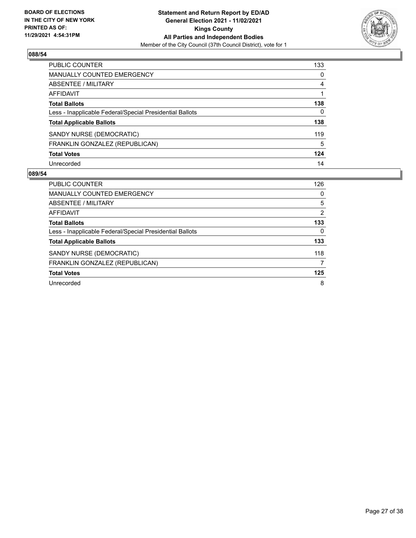

| PUBLIC COUNTER                                           | 133 |
|----------------------------------------------------------|-----|
| <b>MANUALLY COUNTED EMERGENCY</b>                        | 0   |
| ABSENTEE / MILITARY                                      | 4   |
| <b>AFFIDAVIT</b>                                         |     |
| <b>Total Ballots</b>                                     | 138 |
| Less - Inapplicable Federal/Special Presidential Ballots | 0   |
| <b>Total Applicable Ballots</b>                          | 138 |
| SANDY NURSE (DEMOCRATIC)                                 | 119 |
| FRANKLIN GONZALEZ (REPUBLICAN)                           | 5   |
| <b>Total Votes</b>                                       | 124 |
| Unrecorded                                               | 14  |

| PUBLIC COUNTER                                           | 126            |
|----------------------------------------------------------|----------------|
| <b>MANUALLY COUNTED EMERGENCY</b>                        | $\Omega$       |
| ABSENTEE / MILITARY                                      | 5              |
| AFFIDAVIT                                                | $\overline{2}$ |
| <b>Total Ballots</b>                                     | 133            |
| Less - Inapplicable Federal/Special Presidential Ballots | 0              |
| <b>Total Applicable Ballots</b>                          | 133            |
| SANDY NURSE (DEMOCRATIC)                                 | 118            |
| FRANKLIN GONZALEZ (REPUBLICAN)                           | 7              |
| <b>Total Votes</b>                                       | 125            |
| Unrecorded                                               | 8              |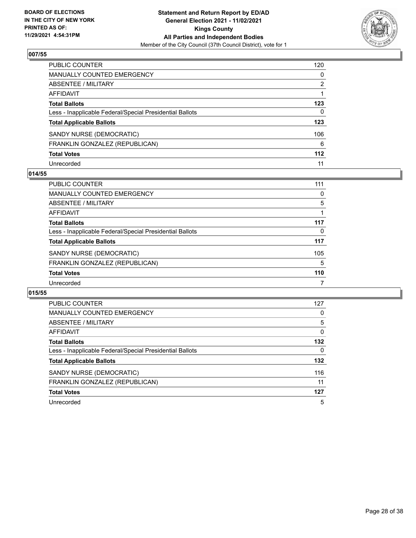

| PUBLIC COUNTER                                           | 120   |
|----------------------------------------------------------|-------|
| <b>MANUALLY COUNTED EMERGENCY</b>                        | 0     |
| <b>ABSENTEE / MILITARY</b>                               | 2     |
| <b>AFFIDAVIT</b>                                         |       |
| <b>Total Ballots</b>                                     | 123   |
| Less - Inapplicable Federal/Special Presidential Ballots | 0     |
| <b>Total Applicable Ballots</b>                          | 123   |
| SANDY NURSE (DEMOCRATIC)                                 | 106   |
| FRANKLIN GONZALEZ (REPUBLICAN)                           | 6     |
| <b>Total Votes</b>                                       | $112$ |
| Unrecorded                                               | 11    |

## **014/55**

| <b>PUBLIC COUNTER</b>                                    | 111 |
|----------------------------------------------------------|-----|
| <b>MANUALLY COUNTED EMERGENCY</b>                        | 0   |
| ABSENTEE / MILITARY                                      | 5   |
| AFFIDAVIT                                                |     |
| <b>Total Ballots</b>                                     | 117 |
| Less - Inapplicable Federal/Special Presidential Ballots | 0   |
| <b>Total Applicable Ballots</b>                          | 117 |
| SANDY NURSE (DEMOCRATIC)                                 | 105 |
| FRANKLIN GONZALEZ (REPUBLICAN)                           | 5   |
| <b>Total Votes</b>                                       | 110 |
| Unrecorded                                               |     |

| <b>PUBLIC COUNTER</b>                                    | 127      |
|----------------------------------------------------------|----------|
| <b>MANUALLY COUNTED EMERGENCY</b>                        | 0        |
| ABSENTEE / MILITARY                                      | 5        |
| <b>AFFIDAVIT</b>                                         | $\Omega$ |
| <b>Total Ballots</b>                                     | 132      |
| Less - Inapplicable Federal/Special Presidential Ballots | 0        |
| <b>Total Applicable Ballots</b>                          | 132      |
| SANDY NURSE (DEMOCRATIC)                                 | 116      |
| FRANKLIN GONZALEZ (REPUBLICAN)                           | 11       |
| <b>Total Votes</b>                                       | 127      |
| Unrecorded                                               | 5        |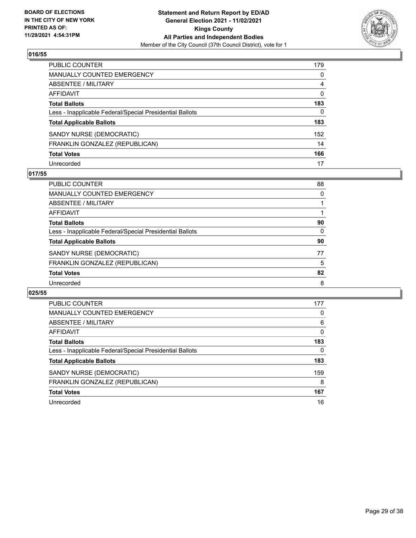

| PUBLIC COUNTER                                           | 179          |
|----------------------------------------------------------|--------------|
| <b>MANUALLY COUNTED EMERGENCY</b>                        | 0            |
| ABSENTEE / MILITARY                                      | 4            |
| <b>AFFIDAVIT</b>                                         | 0            |
| <b>Total Ballots</b>                                     | 183          |
| Less - Inapplicable Federal/Special Presidential Ballots | $\mathbf{0}$ |
| <b>Total Applicable Ballots</b>                          | 183          |
| SANDY NURSE (DEMOCRATIC)                                 | 152          |
| FRANKLIN GONZALEZ (REPUBLICAN)                           | 14           |
| <b>Total Votes</b>                                       | 166          |
| Unrecorded                                               | 17           |

## **017/55**

| <b>PUBLIC COUNTER</b>                                    | 88       |
|----------------------------------------------------------|----------|
| <b>MANUALLY COUNTED EMERGENCY</b>                        | $\Omega$ |
| ABSENTEE / MILITARY                                      |          |
| AFFIDAVIT                                                |          |
| <b>Total Ballots</b>                                     | 90       |
| Less - Inapplicable Federal/Special Presidential Ballots | 0        |
| <b>Total Applicable Ballots</b>                          | 90       |
| SANDY NURSE (DEMOCRATIC)                                 | 77       |
| FRANKLIN GONZALEZ (REPUBLICAN)                           | 5        |
| <b>Total Votes</b>                                       | 82       |
| Unrecorded                                               | 8        |

| PUBLIC COUNTER                                           | 177      |
|----------------------------------------------------------|----------|
| <b>MANUALLY COUNTED EMERGENCY</b>                        | 0        |
| ABSENTEE / MILITARY                                      | 6        |
| <b>AFFIDAVIT</b>                                         | $\Omega$ |
| <b>Total Ballots</b>                                     | 183      |
| Less - Inapplicable Federal/Special Presidential Ballots | 0        |
| <b>Total Applicable Ballots</b>                          | 183      |
| SANDY NURSE (DEMOCRATIC)                                 | 159      |
| FRANKLIN GONZALEZ (REPUBLICAN)                           | 8        |
| <b>Total Votes</b>                                       | 167      |
| Unrecorded                                               | 16       |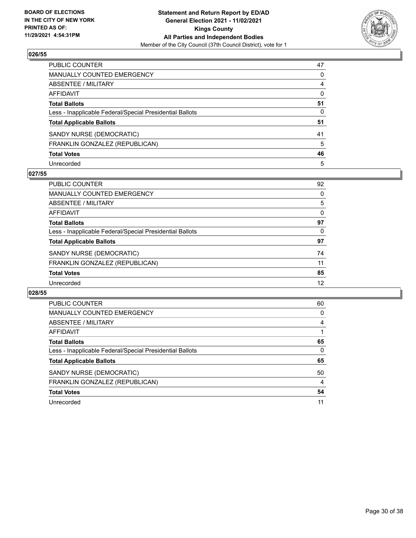

| PUBLIC COUNTER                                           | 47       |
|----------------------------------------------------------|----------|
| <b>MANUALLY COUNTED EMERGENCY</b>                        | 0        |
| <b>ABSENTEE / MILITARY</b>                               | 4        |
| <b>AFFIDAVIT</b>                                         | $\Omega$ |
| <b>Total Ballots</b>                                     | 51       |
| Less - Inapplicable Federal/Special Presidential Ballots | 0        |
| <b>Total Applicable Ballots</b>                          | 51       |
| SANDY NURSE (DEMOCRATIC)                                 | 41       |
| FRANKLIN GONZALEZ (REPUBLICAN)                           | 5        |
| <b>Total Votes</b>                                       | 46       |
| Unrecorded                                               | 5        |

## **027/55**

| <b>PUBLIC COUNTER</b>                                    | 92       |
|----------------------------------------------------------|----------|
| <b>MANUALLY COUNTED EMERGENCY</b>                        | 0        |
| ABSENTEE / MILITARY                                      | 5        |
| AFFIDAVIT                                                | $\Omega$ |
| <b>Total Ballots</b>                                     | 97       |
| Less - Inapplicable Federal/Special Presidential Ballots | 0        |
| <b>Total Applicable Ballots</b>                          | 97       |
| SANDY NURSE (DEMOCRATIC)                                 | 74       |
| FRANKLIN GONZALEZ (REPUBLICAN)                           | 11       |
| <b>Total Votes</b>                                       | 85       |
| Unrecorded                                               | 12       |

| PUBLIC COUNTER                                           | 60 |
|----------------------------------------------------------|----|
| <b>MANUALLY COUNTED EMERGENCY</b>                        | 0  |
| ABSENTEE / MILITARY                                      | 4  |
| <b>AFFIDAVIT</b>                                         |    |
| <b>Total Ballots</b>                                     | 65 |
| Less - Inapplicable Federal/Special Presidential Ballots | 0  |
| <b>Total Applicable Ballots</b>                          | 65 |
| SANDY NURSE (DEMOCRATIC)                                 | 50 |
| FRANKLIN GONZALEZ (REPUBLICAN)                           | 4  |
| <b>Total Votes</b>                                       | 54 |
| Unrecorded                                               | 11 |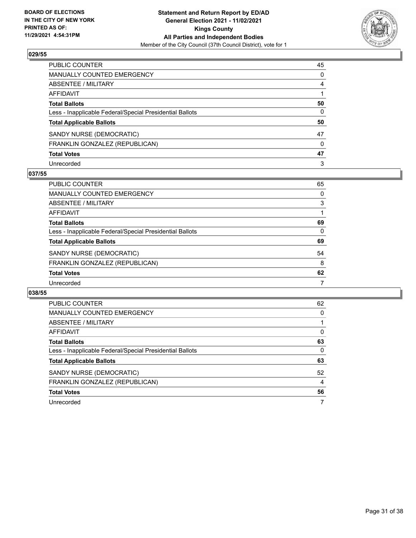

| PUBLIC COUNTER                                           | 45       |
|----------------------------------------------------------|----------|
| <b>MANUALLY COUNTED EMERGENCY</b>                        | 0        |
| ABSENTEE / MILITARY                                      | 4        |
| AFFIDAVIT                                                |          |
| <b>Total Ballots</b>                                     | 50       |
| Less - Inapplicable Federal/Special Presidential Ballots | 0        |
| <b>Total Applicable Ballots</b>                          | 50       |
| SANDY NURSE (DEMOCRATIC)                                 | 47       |
| FRANKLIN GONZALEZ (REPUBLICAN)                           | $\Omega$ |
| <b>Total Votes</b>                                       | 47       |
| Unrecorded                                               | 3        |

## **037/55**

| <b>PUBLIC COUNTER</b>                                    | 65       |
|----------------------------------------------------------|----------|
| <b>MANUALLY COUNTED EMERGENCY</b>                        | $\Omega$ |
| ABSENTEE / MILITARY                                      | 3        |
| AFFIDAVIT                                                |          |
| <b>Total Ballots</b>                                     | 69       |
| Less - Inapplicable Federal/Special Presidential Ballots | 0        |
| <b>Total Applicable Ballots</b>                          | 69       |
| SANDY NURSE (DEMOCRATIC)                                 | 54       |
| FRANKLIN GONZALEZ (REPUBLICAN)                           | 8        |
| <b>Total Votes</b>                                       | 62       |
| Unrecorded                                               | 7        |

| PUBLIC COUNTER                                           | 62       |
|----------------------------------------------------------|----------|
| <b>MANUALLY COUNTED EMERGENCY</b>                        | $\Omega$ |
| ABSENTEE / MILITARY                                      |          |
| <b>AFFIDAVIT</b>                                         | $\Omega$ |
| <b>Total Ballots</b>                                     | 63       |
| Less - Inapplicable Federal/Special Presidential Ballots | 0        |
| <b>Total Applicable Ballots</b>                          | 63       |
| SANDY NURSE (DEMOCRATIC)                                 | 52       |
| FRANKLIN GONZALEZ (REPUBLICAN)                           | 4        |
| <b>Total Votes</b>                                       | 56       |
| Unrecorded                                               |          |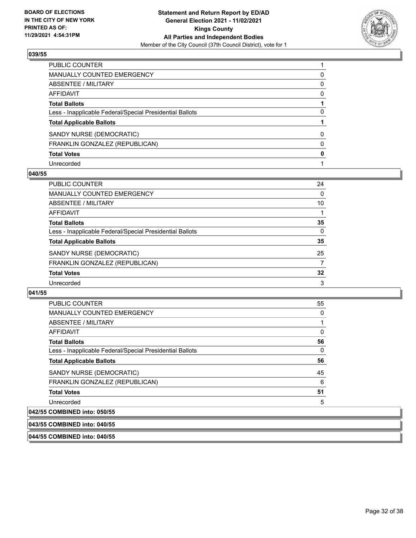

| PUBLIC COUNTER                                           |          |
|----------------------------------------------------------|----------|
| MANUALLY COUNTED EMERGENCY                               | 0        |
| ABSENTEE / MILITARY                                      | $\Omega$ |
| AFFIDAVIT                                                | $\Omega$ |
| <b>Total Ballots</b>                                     |          |
| Less - Inapplicable Federal/Special Presidential Ballots | 0        |
| <b>Total Applicable Ballots</b>                          |          |
| SANDY NURSE (DEMOCRATIC)                                 | $\Omega$ |
| FRANKLIN GONZALEZ (REPUBLICAN)                           | $\Omega$ |
| <b>Total Votes</b>                                       | 0        |
| Unrecorded                                               |          |

#### **040/55**

| PUBLIC COUNTER                                           | 24       |
|----------------------------------------------------------|----------|
| <b>MANUALLY COUNTED EMERGENCY</b>                        | $\Omega$ |
| ABSENTEE / MILITARY                                      | 10       |
| AFFIDAVIT                                                |          |
| <b>Total Ballots</b>                                     | 35       |
| Less - Inapplicable Federal/Special Presidential Ballots | $\Omega$ |
| <b>Total Applicable Ballots</b>                          | 35       |
| SANDY NURSE (DEMOCRATIC)                                 | 25       |
| FRANKLIN GONZALEZ (REPUBLICAN)                           | 7        |
| <b>Total Votes</b>                                       | 32       |
| Unrecorded                                               | 3        |

#### **041/55**

| PUBLIC COUNTER                                           | 55 |
|----------------------------------------------------------|----|
| <b>MANUALLY COUNTED EMERGENCY</b>                        | 0  |
| ABSENTEE / MILITARY                                      | 1  |
| AFFIDAVIT                                                | 0  |
| <b>Total Ballots</b>                                     | 56 |
| Less - Inapplicable Federal/Special Presidential Ballots | 0  |
| <b>Total Applicable Ballots</b>                          | 56 |
| SANDY NURSE (DEMOCRATIC)                                 | 45 |
| FRANKLIN GONZALEZ (REPUBLICAN)                           | 6  |
| <b>Total Votes</b>                                       | 51 |
| Unrecorded                                               | 5  |
| COMPINED into: 050/55                                    |    |

## **042/55 COMBINED into: 050/55**

**043/55 COMBINED into: 040/55**

**044/55 COMBINED into: 040/55**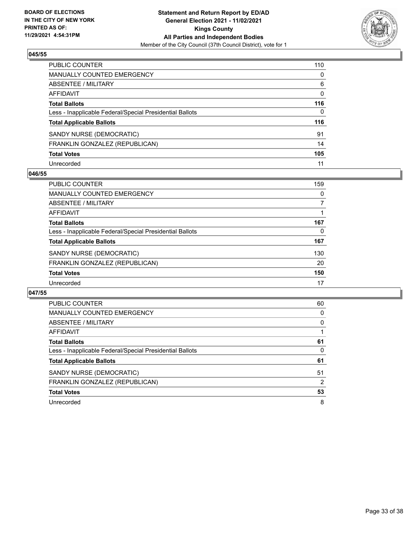

| PUBLIC COUNTER                                           | 110          |
|----------------------------------------------------------|--------------|
| MANUALLY COUNTED EMERGENCY                               | $\mathbf{0}$ |
| <b>ABSENTEE / MILITARY</b>                               | 6            |
| <b>AFFIDAVIT</b>                                         | $\mathbf{0}$ |
| <b>Total Ballots</b>                                     | 116          |
| Less - Inapplicable Federal/Special Presidential Ballots | $\mathbf{0}$ |
| <b>Total Applicable Ballots</b>                          | 116          |
| SANDY NURSE (DEMOCRATIC)                                 | 91           |
| FRANKLIN GONZALEZ (REPUBLICAN)                           | 14           |
| <b>Total Votes</b>                                       | 105          |
| Unrecorded                                               | 11           |

## **046/55**

| <b>PUBLIC COUNTER</b>                                    | 159      |
|----------------------------------------------------------|----------|
| <b>MANUALLY COUNTED EMERGENCY</b>                        | $\Omega$ |
| ABSENTEE / MILITARY                                      |          |
| AFFIDAVIT                                                |          |
| <b>Total Ballots</b>                                     | 167      |
| Less - Inapplicable Federal/Special Presidential Ballots | 0        |
| <b>Total Applicable Ballots</b>                          | 167      |
| SANDY NURSE (DEMOCRATIC)                                 | 130      |
| FRANKLIN GONZALEZ (REPUBLICAN)                           | 20       |
| <b>Total Votes</b>                                       | 150      |
| Unrecorded                                               | 17       |

| PUBLIC COUNTER                                           | 60       |
|----------------------------------------------------------|----------|
| MANUALLY COUNTED EMERGENCY                               | $\Omega$ |
| ABSENTEE / MILITARY                                      | $\Omega$ |
| <b>AFFIDAVIT</b>                                         |          |
| <b>Total Ballots</b>                                     | 61       |
| Less - Inapplicable Federal/Special Presidential Ballots | 0        |
| <b>Total Applicable Ballots</b>                          | 61       |
| SANDY NURSE (DEMOCRATIC)                                 | 51       |
| FRANKLIN GONZALEZ (REPUBLICAN)                           | 2        |
| <b>Total Votes</b>                                       | 53       |
|                                                          |          |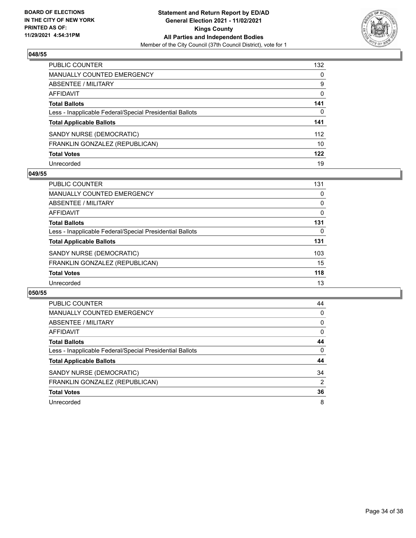

| PUBLIC COUNTER                                           | 132          |
|----------------------------------------------------------|--------------|
| <b>MANUALLY COUNTED EMERGENCY</b>                        | $\mathbf{0}$ |
| <b>ABSENTEE / MILITARY</b>                               | 9            |
| <b>AFFIDAVIT</b>                                         | $\mathbf{0}$ |
| <b>Total Ballots</b>                                     | 141          |
| Less - Inapplicable Federal/Special Presidential Ballots | 0            |
| <b>Total Applicable Ballots</b>                          | 141          |
| SANDY NURSE (DEMOCRATIC)                                 | 112          |
| FRANKLIN GONZALEZ (REPUBLICAN)                           | 10           |
| <b>Total Votes</b>                                       | 122          |
| Unrecorded                                               | 19           |

#### **049/55**

| PUBLIC COUNTER                                           | 131 |
|----------------------------------------------------------|-----|
| <b>MANUALLY COUNTED EMERGENCY</b>                        | 0   |
| ABSENTEE / MILITARY                                      | 0   |
| AFFIDAVIT                                                | 0   |
| <b>Total Ballots</b>                                     | 131 |
| Less - Inapplicable Federal/Special Presidential Ballots | 0   |
| <b>Total Applicable Ballots</b>                          | 131 |
| SANDY NURSE (DEMOCRATIC)                                 | 103 |
| FRANKLIN GONZALEZ (REPUBLICAN)                           | 15  |
| <b>Total Votes</b>                                       | 118 |
| Unrecorded                                               | 13  |

| PUBLIC COUNTER                                           | 44       |
|----------------------------------------------------------|----------|
| <b>MANUALLY COUNTED EMERGENCY</b>                        | 0        |
| ABSENTEE / MILITARY                                      | $\Omega$ |
| <b>AFFIDAVIT</b>                                         | $\Omega$ |
| <b>Total Ballots</b>                                     | 44       |
| Less - Inapplicable Federal/Special Presidential Ballots | $\Omega$ |
| <b>Total Applicable Ballots</b>                          | 44       |
| SANDY NURSE (DEMOCRATIC)                                 | 34       |
| FRANKLIN GONZALEZ (REPUBLICAN)                           | 2        |
| <b>Total Votes</b>                                       | 36       |
| Unrecorded                                               | 8        |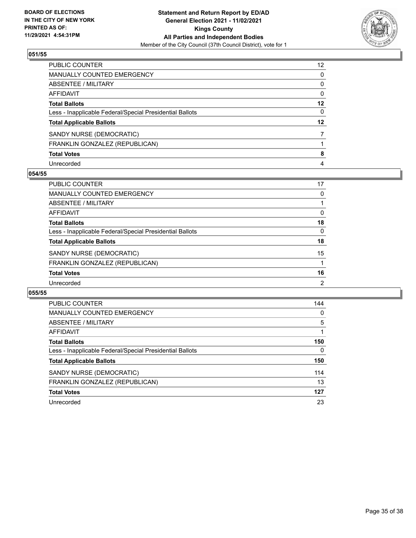

| PUBLIC COUNTER                                           | 12 <sup>2</sup> |
|----------------------------------------------------------|-----------------|
| MANUALLY COUNTED EMERGENCY                               | $\mathbf{0}$    |
| ABSENTEE / MILITARY                                      | $\mathbf{0}$    |
| <b>AFFIDAVIT</b>                                         | $\mathbf{0}$    |
| <b>Total Ballots</b>                                     | $12 \,$         |
| Less - Inapplicable Federal/Special Presidential Ballots | 0               |
| <b>Total Applicable Ballots</b>                          | $12 \,$         |
| SANDY NURSE (DEMOCRATIC)                                 |                 |
| FRANKLIN GONZALEZ (REPUBLICAN)                           |                 |
| <b>Total Votes</b>                                       | 8               |
| Unrecorded                                               | 4               |

## **054/55**

| <b>PUBLIC COUNTER</b>                                    | 17             |
|----------------------------------------------------------|----------------|
| <b>MANUALLY COUNTED EMERGENCY</b>                        | 0              |
| ABSENTEE / MILITARY                                      |                |
| AFFIDAVIT                                                | $\Omega$       |
| <b>Total Ballots</b>                                     | 18             |
| Less - Inapplicable Federal/Special Presidential Ballots | $\Omega$       |
| <b>Total Applicable Ballots</b>                          | 18             |
| SANDY NURSE (DEMOCRATIC)                                 | 15             |
| FRANKLIN GONZALEZ (REPUBLICAN)                           |                |
| <b>Total Votes</b>                                       | 16             |
| Unrecorded                                               | $\overline{2}$ |

| PUBLIC COUNTER                                           | 144      |
|----------------------------------------------------------|----------|
| <b>MANUALLY COUNTED EMERGENCY</b>                        | 0        |
| ABSENTEE / MILITARY                                      | 5        |
| AFFIDAVIT                                                |          |
| <b>Total Ballots</b>                                     | 150      |
| Less - Inapplicable Federal/Special Presidential Ballots | $\Omega$ |
| <b>Total Applicable Ballots</b>                          | 150      |
| SANDY NURSE (DEMOCRATIC)                                 | 114      |
| FRANKLIN GONZALEZ (REPUBLICAN)                           | 13       |
| <b>Total Votes</b>                                       | 127      |
| Unrecorded                                               | 23       |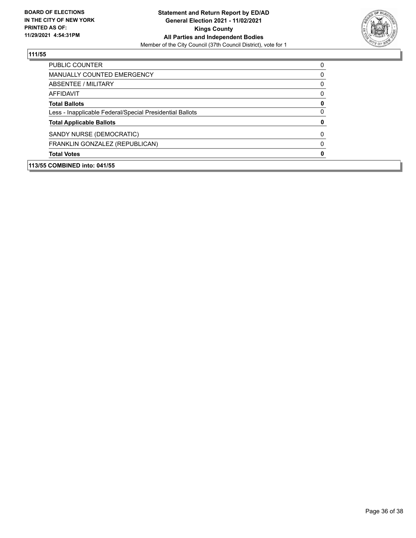

| <b>PUBLIC COUNTER</b>                                    | $\Omega$ |
|----------------------------------------------------------|----------|
| <b>MANUALLY COUNTED EMERGENCY</b>                        | $\Omega$ |
| ABSENTEE / MILITARY                                      | $\Omega$ |
| <b>AFFIDAVIT</b>                                         | $\Omega$ |
| <b>Total Ballots</b>                                     | 0        |
| Less - Inapplicable Federal/Special Presidential Ballots | $\Omega$ |
| <b>Total Applicable Ballots</b>                          | 0        |
| SANDY NURSE (DEMOCRATIC)                                 | $\Omega$ |
| FRANKLIN GONZALEZ (REPUBLICAN)                           | $\Omega$ |
| <b>Total Votes</b>                                       | 0        |
|                                                          |          |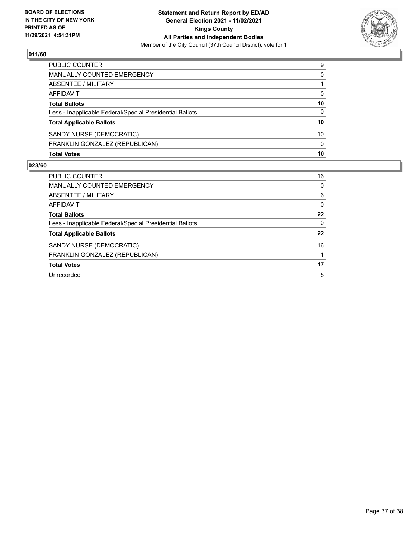

| PUBLIC COUNTER                                           | 9        |
|----------------------------------------------------------|----------|
| MANUALLY COUNTED EMERGENCY                               | 0        |
| ABSENTEE / MILITARY                                      |          |
| AFFIDAVIT                                                | 0        |
| <b>Total Ballots</b>                                     | 10       |
| Less - Inapplicable Federal/Special Presidential Ballots | 0        |
| <b>Total Applicable Ballots</b>                          | 10       |
| SANDY NURSE (DEMOCRATIC)                                 | 10       |
| FRANKLIN GONZALEZ (REPUBLICAN)                           | $\Omega$ |
| <b>Total Votes</b>                                       | 10       |

| <b>PUBLIC COUNTER</b>                                    | 16       |
|----------------------------------------------------------|----------|
| <b>MANUALLY COUNTED EMERGENCY</b>                        | 0        |
| ABSENTEE / MILITARY                                      | 6        |
| AFFIDAVIT                                                | $\Omega$ |
| <b>Total Ballots</b>                                     | 22       |
| Less - Inapplicable Federal/Special Presidential Ballots | $\Omega$ |
| <b>Total Applicable Ballots</b>                          | 22       |
| SANDY NURSE (DEMOCRATIC)                                 | 16       |
| FRANKLIN GONZALEZ (REPUBLICAN)                           |          |
| <b>Total Votes</b>                                       | 17       |
| Unrecorded                                               | 5        |